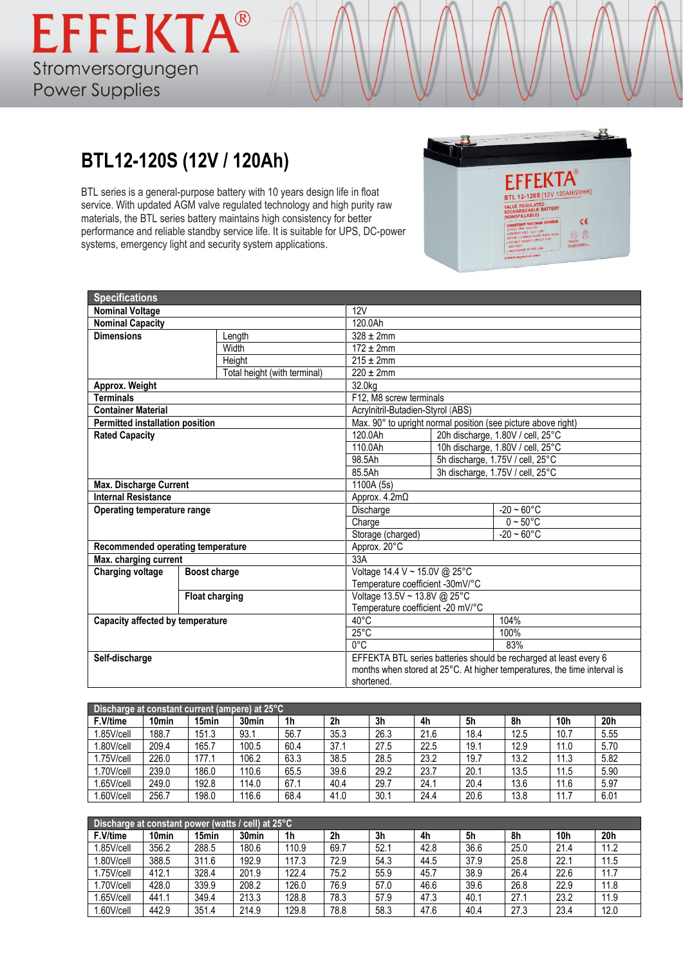## **BTL12-120S (12V / 120Ah)**

BTL series is a general-purpose battery with 10 years design life in float service. With updated AGM valve regulated technology and high purity raw materials, the BTL series battery maintains high consistency for better performance and reliable standby service life. It is suitable for UPS, DC-power systems, emergency light and security system applications.



| <b>Specifications</b>             |                       |                              |                                                                          |                                  |                                                               |  |  |  |
|-----------------------------------|-----------------------|------------------------------|--------------------------------------------------------------------------|----------------------------------|---------------------------------------------------------------|--|--|--|
| <b>Nominal Voltage</b>            |                       |                              | 12V                                                                      |                                  |                                                               |  |  |  |
| <b>Nominal Capacity</b>           |                       |                              | 120.0Ah                                                                  |                                  |                                                               |  |  |  |
| <b>Dimensions</b>                 |                       | Length                       | $328 \pm 2$ mm                                                           |                                  |                                                               |  |  |  |
|                                   |                       | Width                        | $172 \pm 2$ mm                                                           |                                  |                                                               |  |  |  |
|                                   |                       | Height                       | $215 \pm 2 \text{mm}$                                                    |                                  |                                                               |  |  |  |
|                                   |                       | Total height (with terminal) | $220 \pm 2$ mm                                                           |                                  |                                                               |  |  |  |
| Approx. Weight                    |                       |                              | 32.0kg                                                                   |                                  |                                                               |  |  |  |
| <b>Terminals</b>                  |                       |                              | F12, M8 screw terminals                                                  |                                  |                                                               |  |  |  |
| <b>Container Material</b>         |                       |                              | Acrylnitril-Butadien-Styrol (ABS)                                        |                                  |                                                               |  |  |  |
| Permitted installation position   |                       |                              |                                                                          |                                  | Max. 90° to upright normal position (see picture above right) |  |  |  |
| <b>Rated Capacity</b>             |                       |                              | 120.0Ah                                                                  |                                  | 20h discharge, 1.80V / cell, 25°C                             |  |  |  |
|                                   |                       |                              | 110.0Ah                                                                  |                                  | 10h discharge, 1.80V / cell, 25°C                             |  |  |  |
|                                   |                       |                              | 98.5Ah                                                                   |                                  | 5h discharge, 1.75V / cell, 25°C                              |  |  |  |
|                                   |                       |                              | 85.5Ah                                                                   | 3h discharge, 1.75V / cell, 25°C |                                                               |  |  |  |
| <b>Max. Discharge Current</b>     |                       |                              | 1100A (5s)                                                               |                                  |                                                               |  |  |  |
| <b>Internal Resistance</b>        |                       |                              | Approx. $4.2m\Omega$                                                     |                                  |                                                               |  |  |  |
| Operating temperature range       |                       |                              | Discharge                                                                |                                  | $-20 - 60^{\circ}$ C                                          |  |  |  |
|                                   |                       |                              | Charge                                                                   |                                  | $0 - 50$ °C                                                   |  |  |  |
|                                   |                       |                              | Storage (charged)                                                        |                                  | $-20 - 60$ °C                                                 |  |  |  |
| Recommended operating temperature |                       |                              | Approx. 20°C                                                             |                                  |                                                               |  |  |  |
| Max. charging current             |                       |                              | 33A                                                                      |                                  |                                                               |  |  |  |
| <b>Charging voltage</b>           | Boost charge          |                              | Voltage 14.4 V ~ 15.0V @ 25°C                                            |                                  |                                                               |  |  |  |
|                                   |                       |                              | Temperature coefficient -30mV/°C                                         |                                  |                                                               |  |  |  |
|                                   | <b>Float charging</b> |                              | Voltage 13.5V ~ 13.8V @ 25°C                                             |                                  |                                                               |  |  |  |
|                                   |                       |                              | Temperature coefficient -20 mV/°C                                        |                                  |                                                               |  |  |  |
| Capacity affected by temperature  |                       |                              | $40^{\circ}$ C                                                           |                                  | 104%                                                          |  |  |  |
|                                   |                       |                              | $25^{\circ}$ C                                                           |                                  | 100%                                                          |  |  |  |
|                                   |                       |                              | $0^{\circ}$ C<br>83%                                                     |                                  |                                                               |  |  |  |
| Self-discharge                    |                       |                              | EFFEKTA BTL series batteries should be recharged at least every 6        |                                  |                                                               |  |  |  |
|                                   |                       |                              | months when stored at 25°C. At higher temperatures, the time interval is |                                  |                                                               |  |  |  |
|                                   |                       |                              | shortened.                                                               |                                  |                                                               |  |  |  |

| Discharge at constant current (ampere) at $25^{\circ}$ C |                   |       |                   |                |                |      |      |      |      |                 |      |
|----------------------------------------------------------|-------------------|-------|-------------------|----------------|----------------|------|------|------|------|-----------------|------|
| F.V/time                                                 | 10 <sub>min</sub> | 15min | 30 <sub>min</sub> | 1 <sub>h</sub> | 2 <sub>h</sub> | 3h   | 4h   | 5h   | 8h   | 10 <sub>h</sub> | 20h  |
| 1.85V/cell                                               | 188.7             | 151.3 | 93.1              | 56.7           | 35.3           | 26.3 | 21.6 | 18.4 | 12.5 | 10.7            | 5.55 |
| .80V/cell                                                | 209.4             | 165.7 | 100.5             | 60.4           | 37.1           | 27.5 | 22.5 | 19.1 | 12.9 | 11.0            | 5.70 |
| .75V/cell                                                | 226.0             | 177.1 | 106.2             | 63.3           | 38.5           | 28.5 | 23.2 | 19.7 | 13.2 | 11.3            | 5.82 |
| .70V/cell                                                | 239.0             | 186.0 | 110.6             | 65.5           | 39.6           | 29.2 | 23.7 | 20.1 | 13.5 | 11.5            | 5.90 |
| .65V/cell                                                | 249.0             | 192.8 | 114.0             | 67.1           | 40.4           | 29.7 | 24.1 | 20.4 | 13.6 | 11.6            | 5.97 |
| .60V/cell                                                | 256.7             | 198.0 | 116.6             | 68.4           | 41.0           | 30.1 | 24.4 | 20.6 | 13.8 | 11.7            | 6.01 |

| Discharge at constant power (watts / cell) at $25^{\circ}$ C |                   |       |                   |       |                |      |      |      |      |      |                 |
|--------------------------------------------------------------|-------------------|-------|-------------------|-------|----------------|------|------|------|------|------|-----------------|
| F.V/time                                                     | 10 <sub>min</sub> | 15min | 30 <sub>min</sub> | 1h    | 2 <sub>h</sub> | 3h   | 4h   | 5h   | 8h   | 10h  | 20 <sub>h</sub> |
| .85V/cell                                                    | 356.2             | 288.5 | 180.6             | 110.9 | 69.7           | 52.1 | 42.8 | 36.6 | 25.0 | 21.4 | 11.2            |
| .80V/cell                                                    | 388.5             | 311.6 | 192.9             | 117.3 | 72.9           | 54.3 | 44.5 | 37.9 | 25.8 | 22.1 | 11.5            |
| .75V/cell                                                    | 412.1             | 328.4 | 201.9             | 122.4 | 75.2           | 55.9 | 45.7 | 38.9 | 26.4 | 22.6 | 11.7            |
| .70V/cell                                                    | 428.0             | 339.9 | 208.2             | 126.0 | 76.9           | 57.0 | 46.6 | 39.6 | 26.8 | 22.9 | 11.8            |
| .65V/cell                                                    | 441.1             | 349.4 | 213.3             | 128.8 | 78.3           | 57.9 | 47.3 | 40.1 | 27.1 | 23.2 | 11.9            |
| .60V/cell                                                    | 442.9             | 351.4 | 214.9             | 129.8 | 78.8           | 58.3 | 47.6 | 40.4 | 27.3 | 23.4 | 12.0            |